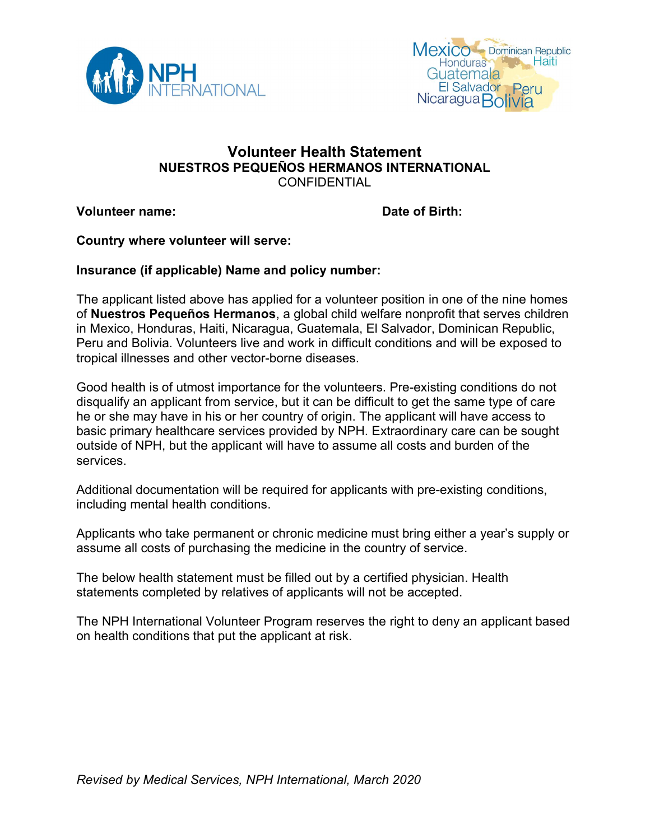



### Volunteer Health Statement NUESTROS PEQUEÑOS HERMANOS INTERNATIONAL **CONFIDENTIAL**

Volunteer name: Date of Birth:

Country where volunteer will serve:

#### Insurance (if applicable) Name and policy number:

The applicant listed above has applied for a volunteer position in one of the nine homes of Nuestros Pequeños Hermanos, a global child welfare nonprofit that serves children in Mexico, Honduras, Haiti, Nicaragua, Guatemala, El Salvador, Dominican Republic, Peru and Bolivia. Volunteers live and work in difficult conditions and will be exposed to tropical illnesses and other vector-borne diseases.

Good health is of utmost importance for the volunteers. Pre-existing conditions do not disqualify an applicant from service, but it can be difficult to get the same type of care he or she may have in his or her country of origin. The applicant will have access to basic primary healthcare services provided by NPH. Extraordinary care can be sought outside of NPH, but the applicant will have to assume all costs and burden of the services.

Additional documentation will be required for applicants with pre-existing conditions, including mental health conditions.

Applicants who take permanent or chronic medicine must bring either a year's supply or assume all costs of purchasing the medicine in the country of service.

The below health statement must be filled out by a certified physician. Health statements completed by relatives of applicants will not be accepted.

The NPH International Volunteer Program reserves the right to deny an applicant based on health conditions that put the applicant at risk.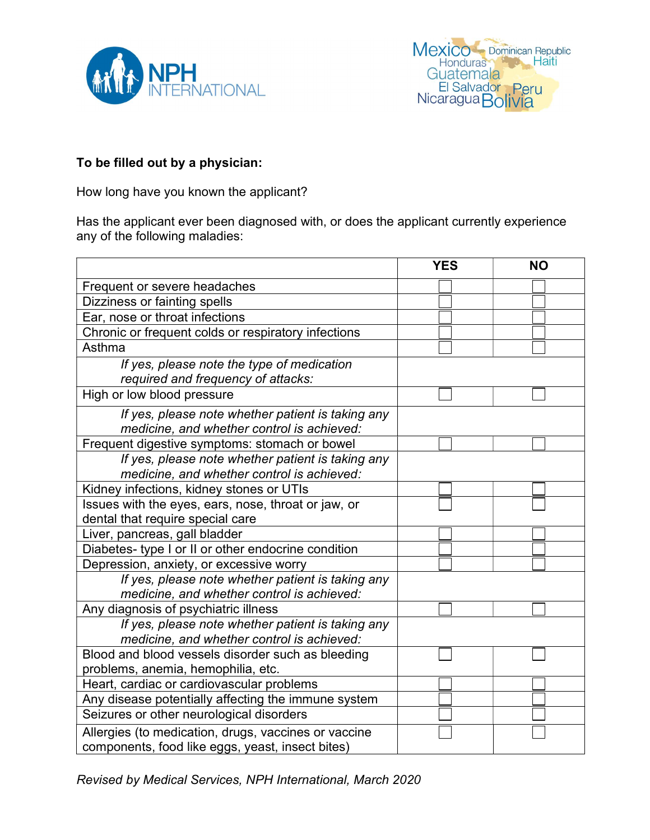



# To be filled out by a physician:

How long have you known the applicant?

Has the applicant ever been diagnosed with, or does the applicant currently experience any of the following maladies:

|                                                                                                          | <b>YES</b> | <b>NO</b> |  |
|----------------------------------------------------------------------------------------------------------|------------|-----------|--|
| Frequent or severe headaches                                                                             |            |           |  |
| Dizziness or fainting spells                                                                             |            |           |  |
| Ear, nose or throat infections                                                                           |            |           |  |
| Chronic or frequent colds or respiratory infections                                                      |            |           |  |
| Asthma                                                                                                   |            |           |  |
| If yes, please note the type of medication<br>required and frequency of attacks:                         |            |           |  |
| High or low blood pressure                                                                               |            |           |  |
| If yes, please note whether patient is taking any<br>medicine, and whether control is achieved:          |            |           |  |
| Frequent digestive symptoms: stomach or bowel                                                            |            |           |  |
| If yes, please note whether patient is taking any<br>medicine, and whether control is achieved:          |            |           |  |
| Kidney infections, kidney stones or UTIs                                                                 |            |           |  |
| Issues with the eyes, ears, nose, throat or jaw, or                                                      |            |           |  |
| dental that require special care                                                                         |            |           |  |
| Liver, pancreas, gall bladder                                                                            |            |           |  |
| Diabetes- type I or II or other endocrine condition                                                      |            |           |  |
| Depression, anxiety, or excessive worry                                                                  |            |           |  |
| If yes, please note whether patient is taking any                                                        |            |           |  |
| medicine, and whether control is achieved:                                                               |            |           |  |
| Any diagnosis of psychiatric illness                                                                     |            |           |  |
| If yes, please note whether patient is taking any<br>medicine, and whether control is achieved:          |            |           |  |
| Blood and blood vessels disorder such as bleeding                                                        |            |           |  |
| problems, anemia, hemophilia, etc.                                                                       |            |           |  |
| Heart, cardiac or cardiovascular problems                                                                |            |           |  |
| Any disease potentially affecting the immune system                                                      |            |           |  |
| Seizures or other neurological disorders                                                                 |            |           |  |
| Allergies (to medication, drugs, vaccines or vaccine<br>components, food like eggs, yeast, insect bites) |            |           |  |

Revised by Medical Services, NPH International, March 2020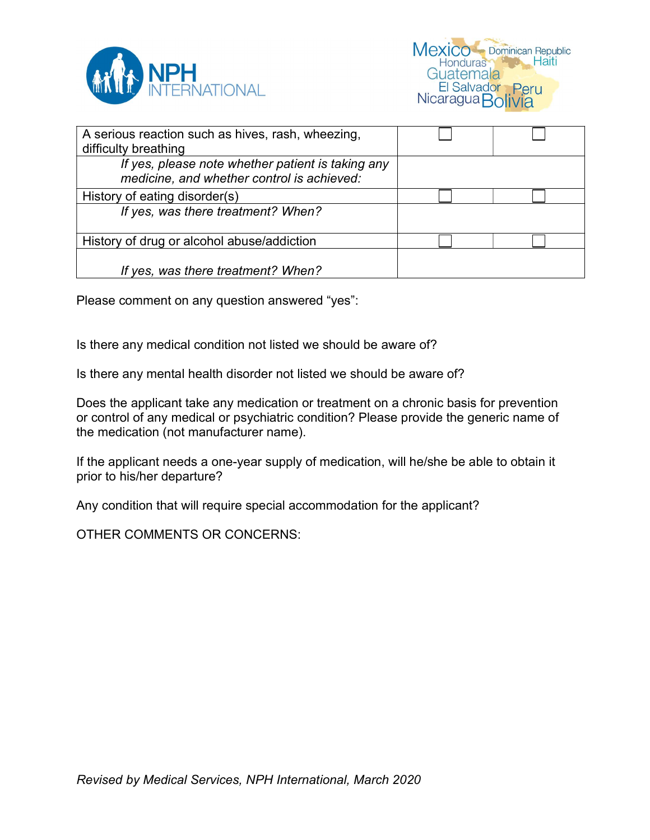

| A serious reaction such as hives, rash, wheezing, |  |
|---------------------------------------------------|--|
| difficulty breathing                              |  |
| If yes, please note whether patient is taking any |  |
| medicine, and whether control is achieved:        |  |
| History of eating disorder(s)                     |  |
| If yes, was there treatment? When?                |  |
|                                                   |  |
| History of drug or alcohol abuse/addiction        |  |
|                                                   |  |
| If yes, was there treatment? When?                |  |

Please comment on any question answered "yes":

Is there any medical condition not listed we should be aware of?

Is there any mental health disorder not listed we should be aware of?

Does the applicant take any medication or treatment on a chronic basis for prevention or control of any medical or psychiatric condition? Please provide the generic name of the medication (not manufacturer name).

If the applicant needs a one-year supply of medication, will he/she be able to obtain it prior to his/her departure?

Any condition that will require special accommodation for the applicant?

OTHER COMMENTS OR CONCERNS: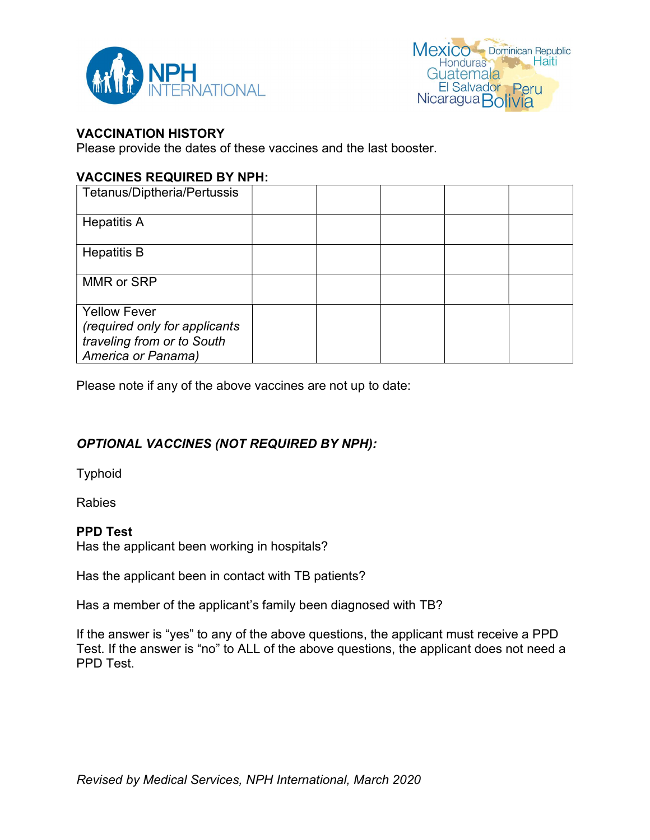



#### VACCINATION HISTORY

Please provide the dates of these vaccines and the last booster.

#### VACCINES REQUIRED BY NPH:

| Tetanus/Diptheria/Pertussis                                                        |  |  |  |
|------------------------------------------------------------------------------------|--|--|--|
| <b>Hepatitis A</b>                                                                 |  |  |  |
| <b>Hepatitis B</b>                                                                 |  |  |  |
| MMR or SRP                                                                         |  |  |  |
| <b>Yellow Fever</b><br>(required only for applicants<br>traveling from or to South |  |  |  |
| America or Panama)                                                                 |  |  |  |

Please note if any of the above vaccines are not up to date:

## OPTIONAL VACCINES (NOT REQUIRED BY NPH):

Typhoid

Rabies

#### PPD Test

Has the applicant been working in hospitals?

Has the applicant been in contact with TB patients?

Has a member of the applicant's family been diagnosed with TB?

If the answer is "yes" to any of the above questions, the applicant must receive a PPD Test. If the answer is "no" to ALL of the above questions, the applicant does not need a PPD Test.